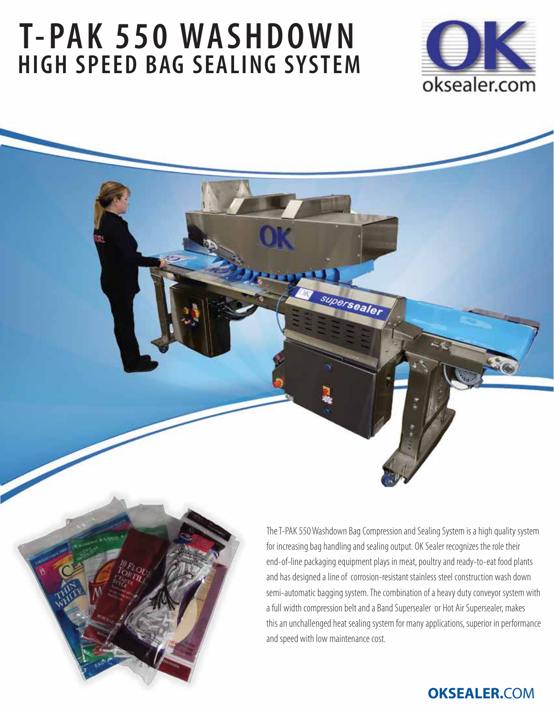# **T-PAK 550 WASHDOWN HIGH SPEED BAG SEALING SYSTEM**



The T-PAK 550 Washdown Bag Compression and Sealing System is a high quality system for increasing bag handling and sealing output. OK Sealer recognizes the role their end-of-line packaging equipment plays in meat, poultry and ready-to-eat food plants and has designed a line of corrosion-resistant stainless steel construction wash down semi-automatic bagging system. The combination of a heavy duty conveyor system with a full width compression belt and a Band Supersealer or Hot Air Supersealer, makes this an unchallenged heat sealing system for many applications, superior in performance and speed with low maintenance cost.

supersealer

# **OKSEALER.**COM